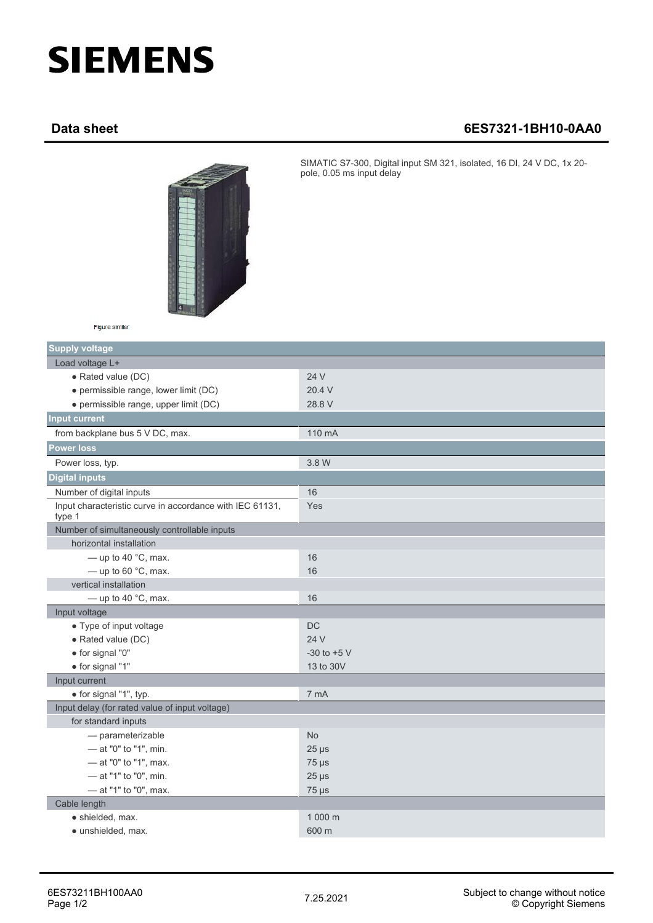## **SIEMENS**

## **Data sheet 6ES7321-1BH10-0AA0**



SIMATIC S7-300, Digital input SM 321, isolated, 16 DI, 24 V DC, 1x 20 pole, 0.05 ms input delay

| Figure similar |  |
|----------------|--|
|                |  |

| <b>Supply voltage</b>                                              |                 |  |
|--------------------------------------------------------------------|-----------------|--|
| Load voltage L+                                                    |                 |  |
| • Rated value (DC)                                                 | 24 V            |  |
| • permissible range, lower limit (DC)                              | 20.4 V          |  |
| · permissible range, upper limit (DC)                              | 28.8 V          |  |
| <b>Input current</b>                                               |                 |  |
| from backplane bus 5 V DC, max.                                    | 110 mA          |  |
| <b>Power loss</b>                                                  |                 |  |
| Power loss, typ.                                                   | 3.8 W           |  |
| <b>Digital inputs</b>                                              |                 |  |
| Number of digital inputs                                           | 16              |  |
| Input characteristic curve in accordance with IEC 61131,<br>type 1 | Yes             |  |
| Number of simultaneously controllable inputs                       |                 |  |
| horizontal installation                                            |                 |  |
| — up to 40 $^{\circ}$ C, max.                                      | 16              |  |
| $-$ up to 60 $^{\circ}$ C, max.                                    | 16              |  |
| vertical installation                                              |                 |  |
| — up to 40 $^{\circ}$ C, max.                                      | 16              |  |
| Input voltage                                                      |                 |  |
| • Type of input voltage                                            | <b>DC</b>       |  |
| • Rated value (DC)                                                 | 24 V            |  |
| · for signal "0"                                                   | $-30$ to $+5$ V |  |
| · for signal "1"                                                   | 13 to 30V       |  |
| Input current                                                      |                 |  |
| · for signal "1", typ.                                             | 7 mA            |  |
| Input delay (for rated value of input voltage)                     |                 |  |
| for standard inputs                                                |                 |  |
| $-$ parameterizable                                                | <b>No</b>       |  |
| - at "0" to "1", min.                                              | $25 \mu s$      |  |
| - at "0" to "1", max.                                              | $75 \mu s$      |  |
| - at "1" to "0", min.                                              | $25 \mu s$      |  |
| - at "1" to "0", max.                                              | $75 \mu s$      |  |
| Cable length                                                       |                 |  |
| · shielded, max.                                                   | 1 000 m         |  |
| · unshielded, max.                                                 | 600 m           |  |